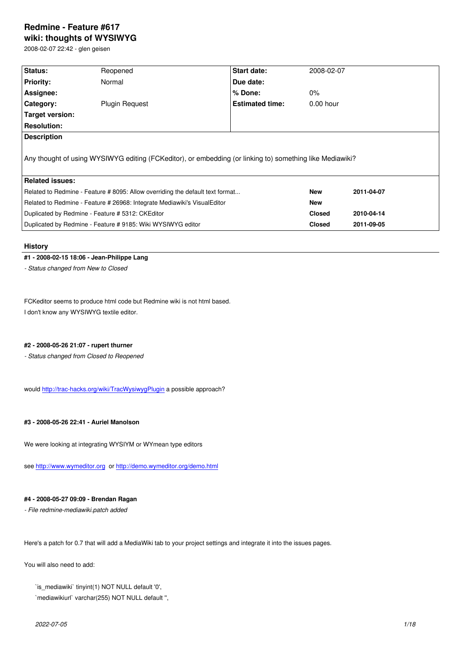#### **wiki: thoughts of WYSIWYG**

2008-02-07 22:42 - glen geisen

| Status:                                                                                                  | Reopened              | Start date:            | 2008-02-07    |            |  |  |  |
|----------------------------------------------------------------------------------------------------------|-----------------------|------------------------|---------------|------------|--|--|--|
| <b>Priority:</b>                                                                                         | Normal                | Due date:              |               |            |  |  |  |
| Assignee:                                                                                                |                       | $%$ Done:              | $0\%$         |            |  |  |  |
| Category:                                                                                                | <b>Plugin Request</b> | <b>Estimated time:</b> | $0.00$ hour   |            |  |  |  |
| Target version:                                                                                          |                       |                        |               |            |  |  |  |
| <b>Resolution:</b>                                                                                       |                       |                        |               |            |  |  |  |
| <b>Description</b>                                                                                       |                       |                        |               |            |  |  |  |
| Any thought of using WYSIWYG editing (FCKeditor), or embedding (or linking to) something like Mediawiki? |                       |                        |               |            |  |  |  |
| <b>Related issues:</b>                                                                                   |                       |                        |               |            |  |  |  |
| Related to Redmine - Feature #8095: Allow overriding the default text format                             |                       |                        | <b>New</b>    | 2011-04-07 |  |  |  |
| Related to Redmine - Feature # 26968: Integrate Mediawiki's VisualEditor                                 |                       |                        | <b>New</b>    |            |  |  |  |
| Duplicated by Redmine - Feature # 5312: CKEditor                                                         |                       |                        | <b>Closed</b> | 2010-04-14 |  |  |  |
| Duplicated by Redmine - Feature # 9185: Wiki WYSIWYG editor                                              |                       |                        | <b>Closed</b> | 2011-09-05 |  |  |  |

### **History**

### **#1 - 2008-02-15 18:06 - Jean-Philippe Lang**

*- Status changed from New to Closed*

FCKeditor seems to produce html code but Redmine wiki is not html based. I don't know any WYSIWYG textile editor.

# **#2 - 2008-05-26 21:07 - rupert thurner**

*- Status changed from Closed to Reopened*

would http://trac-hacks.org/wiki/TracWysiwygPlugin a possible approach?

## **#3 - 2[008-05-26 22:41 - Auriel Manolson](http://trac-hacks.org/wiki/TracWysiwygPlugin)**

We were looking at integrating WYSIYM or WYmean type editors

see http://www.wymeditor.org or http://demo.wymeditor.org/demo.html

# **#4 - [2008-05-27 09:09 - Bren](http://www.wymeditor.org)da[n Ragan](http://demo.wymeditor.org/demo.html)**

*- File redmine-mediawiki.patch added*

Here's a patch for 0.7 that will add a MediaWiki tab to your project settings and integrate it into the issues pages.

You will also need to add:

`is\_mediawiki` tinyint(1) NOT NULL default '0',

`mediawikiurl` varchar(255) NOT NULL default '',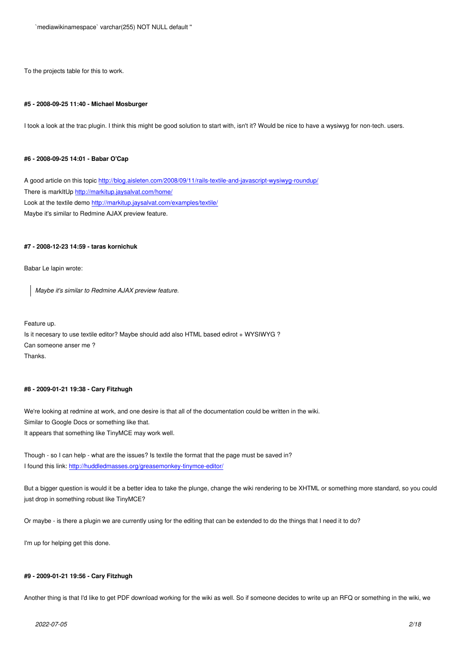To the projects table for this to work.

#### **#5 - 2008-09-25 11:40 - Michael Mosburger**

I took a look at the trac plugin. I think this might be good solution to start with, isn't it? Would be nice to have a wysiwyg for non-tech. users.

#### **#6 - 2008-09-25 14:01 - Babar O'Cap**

A good article on this topic http://blog.aisleten.com/2008/09/11/rails-textile-and-javascript-wysiwyg-roundup/ There is markItUp http://markitup.jaysalvat.com/home/ Look at the textile demo http://markitup.jaysalvat.com/examples/textile/ Maybe it's similar to Redmi[ne AJAX preview feature.](http://blog.aisleten.com/2008/09/11/rails-textile-and-javascript-wysiwyg-roundup/)

#### **#7 - 2008-12-23 14:59 - [taras kornichuk](http://markitup.jaysalvat.com/examples/textile/)**

Babar Le lapin wrote:

*Maybe it's similar to Redmine AJAX preview feature.*

Feature up. Is it necesary to use textile editor? Maybe should add also HTML based edirot + WYSIWYG ? Can someone anser me ? Thanks.

#### **#8 - 2009-01-21 19:38 - Cary Fitzhugh**

We're looking at redmine at work, and one desire is that all of the documentation could be written in the wiki. Similar to Google Docs or something like that. It appears that something like TinyMCE may work well.

Though - so I can help - what are the issues? Is textile the format that the page must be saved in? I found this link: http://huddledmasses.org/greasemonkey-tinymce-editor/

But a bigger question is would it be a better idea to take the plunge, change the wiki rendering to be XHTML or something more standard, so you could just drop in som[ething robust like TinyMCE?](http://huddledmasses.org/greasemonkey-tinymce-editor/)

Or maybe - is there a plugin we are currently using for the editing that can be extended to do the things that I need it to do?

I'm up for helping get this done.

#### **#9 - 2009-01-21 19:56 - Cary Fitzhugh**

Another thing is that I'd like to get PDF download working for the wiki as well. So if someone decides to write up an RFQ or something in the wiki, we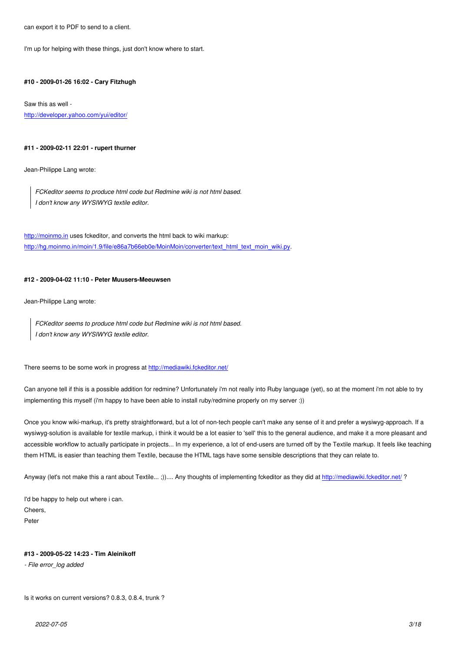I'm up for helping with these things, just don't know where to start.

### **#10 - 2009-01-26 16:02 - Cary Fitzhugh**

Saw this as well http://developer.yahoo.com/yui/editor/

#### **[#11 - 2009-02-11 22:01 - rupert thurn](http://developer.yahoo.com/yui/editor/)er**

Jean-Philippe Lang wrote:

*FCKeditor seems to produce html code but Redmine wiki is not html based. I don't know any WYSIWYG textile editor.*

http://moinmo.in uses fckeditor, and converts the html back to wiki markup: http://hg.moinmo.in/moin/1.9/file/e86a7b66eb0e/MoinMoin/converter/text\_html\_text\_moin\_wiki.py.

#### **[#12 - 2009-04-0](http://moinmo.in)[2 11:10 - Peter Muusers-Meeuwsen](http://hg.moinmo.in/moin/1.9/file/e86a7b66eb0e/MoinMoin/converter/text_html_text_moin_wiki.py)**

Jean-Philippe Lang wrote:

*FCKeditor seems to produce html code but Redmine wiki is not html based. I don't know any WYSIWYG textile editor.*

There seems to be some work in progress at http://mediawiki.fckeditor.net/

Can anyone tell if this is a possible addition for redmine? Unfortunately i'm not really into Ruby language (yet), so at the moment i'm not able to try implementing this myself (i'm happy to have [been able to install ruby/redmi](http://mediawiki.fckeditor.net/)ne properly on my server :))

Once you know wiki-markup, it's pretty straightforward, but a lot of non-tech people can't make any sense of it and prefer a wysiwyg-approach. If a wysiwyg-solution is available for textile markup, i think it would be a lot easier to 'sell' this to the general audience, and make it a more pleasant and accessible workflow to actually participate in projects... In my experience, a lot of end-users are turned off by the Textile markup. It feels like teaching them HTML is easier than teaching them Textile, because the HTML tags have some sensible descriptions that they can relate to.

Anyway (let's not make this a rant about Textile... ;)).... Any thoughts of implementing fckeditor as they did at http://mediawiki.fckeditor.net/?

I'd be happy to help out where i can. Cheers, Peter

### **#13 - 2009-05-22 14:23 - Tim Aleinikoff**

*- File error\_log added*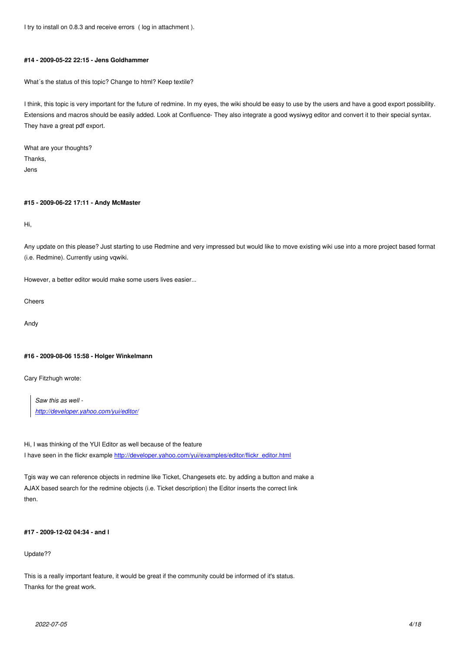### **#14 - 2009-05-22 22:15 - Jens Goldhammer**

What´s the status of this topic? Change to html? Keep textile?

I think, this topic is very important for the future of redmine. In my eyes, the wiki should be easy to use by the users and have a good export possibility. Extensions and macros should be easily added. Look at Confluence- They also integrate a good wysiwyg editor and convert it to their special syntax. They have a great pdf export.

What are your thoughts? Thanks, Jens

### **#15 - 2009-06-22 17:11 - Andy McMaster**

Hi,

Any update on this please? Just starting to use Redmine and very impressed but would like to move existing wiki use into a more project based format (i.e. Redmine). Currently using vqwiki.

However, a better editor would make some users lives easier...

Cheers

Andy

### **#16 - 2009-08-06 15:58 - Holger Winkelmann**

Cary Fitzhugh wrote:

*Saw this as well http://developer.yahoo.com/yui/editor/*

Hi, I was thinking of the YUI Editor as well because of the feature I ha[ve seen in the flickr example http://dev](http://developer.yahoo.com/yui/editor/)eloper.yahoo.com/yui/examples/editor/flickr\_editor.html

Tgis way we can reference objects in redmine like Ticket, Changesets etc. by adding a button and make a AJAX based search for the redm[ine objects \(i.e. Ticket description\) the Editor inserts the correct lin](http://developer.yahoo.com/yui/examples/editor/flickr_editor.html)k then.

### **#17 - 2009-12-02 04:34 - and l**

### Update??

This is a really important feature, it would be great if the community could be informed of it's status. Thanks for the great work.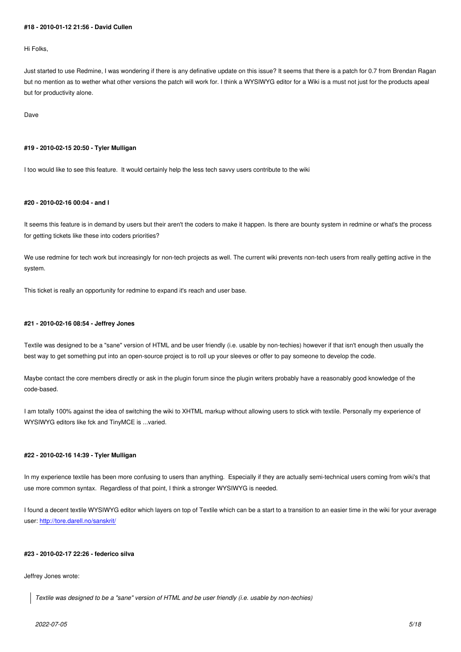Hi Folks,

Just started to use Redmine, I was wondering if there is any definative update on this issue? It seems that there is a patch for 0.7 from Brendan Ragan but no mention as to wether what other versions the patch will work for. I think a WYSIWYG editor for a Wiki is a must not just for the products apeal but for productivity alone.

Dave

#### **#19 - 2010-02-15 20:50 - Tyler Mulligan**

I too would like to see this feature. It would certainly help the less tech savvy users contribute to the wiki

### **#20 - 2010-02-16 00:04 - and l**

It seems this feature is in demand by users but their aren't the coders to make it happen. Is there are bounty system in redmine or what's the process for getting tickets like these into coders priorities?

We use redmine for tech work but increasingly for non-tech projects as well. The current wiki prevents non-tech users from really getting active in the system.

This ticket is really an opportunity for redmine to expand it's reach and user base.

### **#21 - 2010-02-16 08:54 - Jeffrey Jones**

Textile was designed to be a "sane" version of HTML and be user friendly (i.e. usable by non-techies) however if that isn't enough then usually the best way to get something put into an open-source project is to roll up your sleeves or offer to pay someone to develop the code.

Maybe contact the core members directly or ask in the plugin forum since the plugin writers probably have a reasonably good knowledge of the code-based.

I am totally 100% against the idea of switching the wiki to XHTML markup without allowing users to stick with textile. Personally my experience of WYSIWYG editors like fck and TinyMCE is ...varied.

#### **#22 - 2010-02-16 14:39 - Tyler Mulligan**

In my experience textile has been more confusing to users than anything. Especially if they are actually semi-technical users coming from wiki's that use more common syntax. Regardless of that point, I think a stronger WYSIWYG is needed.

I found a decent textile WYSIWYG editor which layers on top of Textile which can be a start to a transition to an easier time in the wiki for your average user: http://tore.darell.no/sanskrit/

### **#23 - [2010-02-17 22:26 - federico](http://tore.darell.no/sanskrit/) silva**

#### Jeffrey Jones wrote:

*Textile was designed to be a "sane" version of HTML and be user friendly (i.e. usable by non-techies)*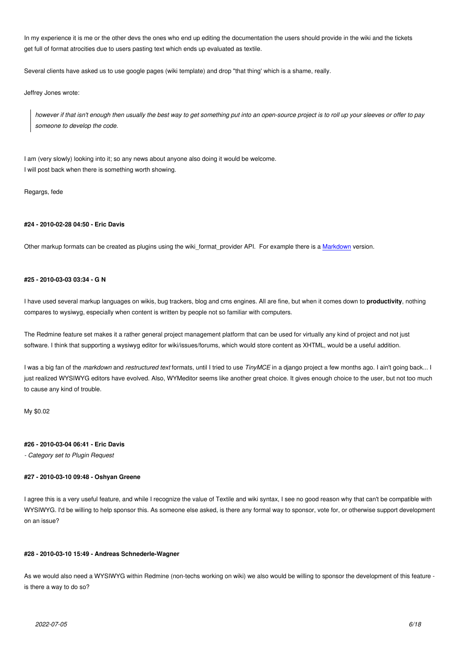In my experience it is me or the other devs the ones who end up editing the documentation the users should provide in the wiki and the tickets get full of format atrocities due to users pasting text which ends up evaluated as textile.

Several clients have asked us to use google pages (wiki template) and drop "that thing' which is a shame, really.

Jeffrey Jones wrote:

*however if that isn't enough then usually the best way to get something put into an open-source project is to roll up your sleeves or offer to pay someone to develop the code.*

I am (very slowly) looking into it; so any news about anyone also doing it would be welcome. I will post back when there is something worth showing.

Regargs, fede

#### **#24 - 2010-02-28 04:50 - Eric Davis**

Other markup formats can be created as plugins using the wiki\_format\_provider API. For example there is a Markdown version.

#### **#25 - 2010-03-03 03:34 - G N**

I have used several markup languages on wikis, bug trackers, blog and cms engines. All are fine, but when it comes down to **productivity**, nothing compares to wysiwyg, especially when content is written by people not so familiar with computers.

The Redmine feature set makes it a rather general project management platform that can be used for virtually any kind of project and not just software. I think that supporting a wysiwyg editor for wiki/issues/forums, which would store content as XHTML, would be a useful addition.

I was a big fan of the *markdown* and *restructured text* formats, until I tried to use *TinyMCE* in a django project a few months ago. I ain't going back... I just realized WYSIWYG editors have evolved. Also, WYMeditor seems like another great choice. It gives enough choice to the user, but not too much to cause any kind of trouble.

My \$0.02

#### **#26 - 2010-03-04 06:41 - Eric Davis**

*- Category set to Plugin Request*

### **#27 - 2010-03-10 09:48 - Oshyan Greene**

I agree this is a very useful feature, and while I recognize the value of Textile and wiki syntax, I see no good reason why that can't be compatible with WYSIWYG. I'd be willing to help sponsor this. As someone else asked, is there any formal way to sponsor, vote for, or otherwise support development on an issue?

### **#28 - 2010-03-10 15:49 - Andreas Schnederle-Wagner**

As we would also need a WYSIWYG within Redmine (non-techs working on wiki) we also would be willing to sponsor the development of this feature is there a way to do so?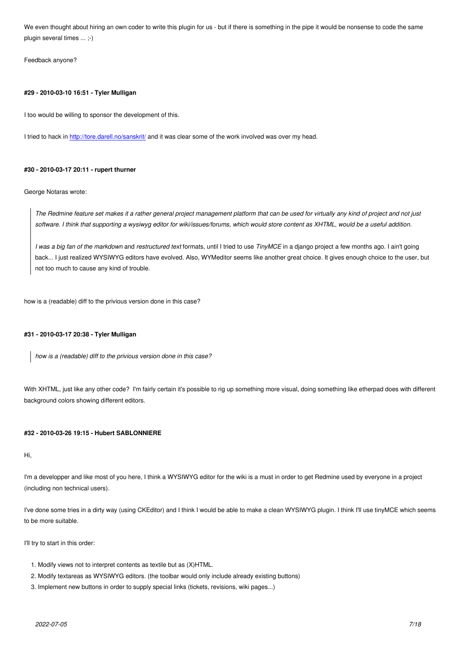plugin several times ... ;-)

Feedback anyone?

#### **#29 - 2010-03-10 16:51 - Tyler Mulligan**

I too would be willing to sponsor the development of this.

I tried to hack in http://tore.darell.no/sanskrit/ and it was clear some of the work involved was over my head.

### **#30 - 2010-03-1[7 20:11 - rupert thurner](http://tore.darell.no/sanskrit/)**

George Notaras wrote:

*The Redmine feature set makes it a rather general project management platform that can be used for virtually any kind of project and not just software. I think that supporting a wysiwyg editor for wiki/issues/forums, which would store content as XHTML, would be a useful addition.*

*I was a big fan of the markdown* and *restructured text* formats, until I tried to use *TinyMCE* in a django project a few months ago. I ain't going back... I just realized WYSIWYG editors have evolved. Also, WYMeditor seems like another great choice. It gives enough choice to the user, but not too much to cause any kind of trouble.

how is a (readable) diff to the privious version done in this case?

#### **#31 - 2010-03-17 20:38 - Tyler Mulligan**

*how is a (readable) diff to the privious version done in this case?*

With XHTML, just like any other code? I'm fairly certain it's possible to rig up something more visual, doing something like etherpad does with different background colors showing different editors.

### **#32 - 2010-03-26 19:15 - Hubert SABLONNIERE**

Hi,

I'm a developper and like most of you here, I think a WYSIWYG editor for the wiki is a must in order to get Redmine used by everyone in a project (including non technical users).

I've done some tries in a dirty way (using CKEditor) and I think I would be able to make a clean WYSIWYG plugin. I think I'll use tinyMCE which seems to be more suitable.

I'll try to start in this order:

- 1. Modify views not to interpret contents as textile but as (X)HTML.
- 2. Modify textareas as WYSIWYG editors. (the toolbar would only include already existing buttons)
- 3. Implement new buttons in order to supply special links (tickets, revisions, wiki pages...)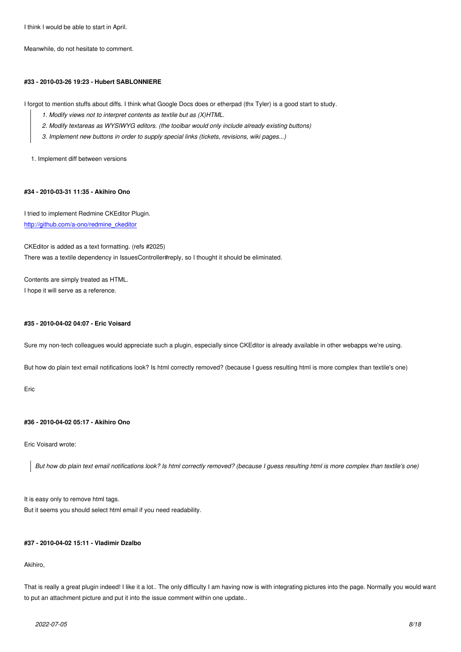# **#33 - 2010-03-26 19:23 - Hubert SABLONNIERE**

I forgot to mention stuffs about diffs. I think what Google Docs does or etherpad (thx Tyler) is a good start to study.

- *1. Modify views not to interpret contents as textile but as (X)HTML.*
- *2. Modify textareas as WYSIWYG editors. (the toolbar would only include already existing buttons)*
- *3. Implement new buttons in order to supply special links (tickets, revisions, wiki pages...)*

1. Implement diff between versions

# **#34 - 2010-03-31 11:35 - Akihiro Ono**

I tried to implement Redmine CKEditor Plugin. http://github.com/a-ono/redmine\_ckeditor

CKEditor is added as a text formatting. (refs #2025) [There was a textile dependency in Issues](http://github.com/a-ono/redmine_ckeditor)Controller#reply, so I thought it should be eliminated.

Contents are simply treated as HTML. I hope it will serve as a reference.

# **#35 - 2010-04-02 04:07 - Eric Voisard**

Sure my non-tech colleagues would appreciate such a plugin, especially since CKEditor is already available in other webapps we're using.

But how do plain text email notifications look? Is html correctly removed? (because I guess resulting html is more complex than textile's one)

Eric

# **#36 - 2010-04-02 05:17 - Akihiro Ono**

Eric Voisard wrote:

*But how do plain text email notifications look? Is html correctly removed? (because I guess resulting html is more complex than textile's one)*

It is easy only to remove html tags. But it seems you should select html email if you need readability.

# **#37 - 2010-04-02 15:11 - Vladimir Dzalbo**

Akihiro,

That is really a great plugin indeed! I like it a lot.. The only difficulty I am having now is with integrating pictures into the page. Normally you would want to put an attachment picture and put it into the issue comment within one update..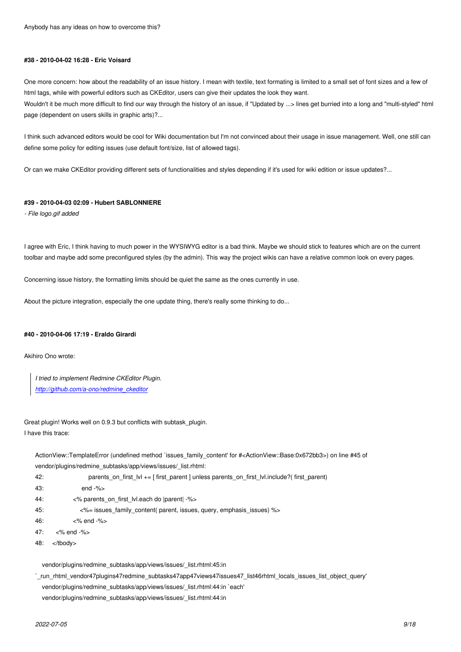#### **#38 - 2010-04-02 16:28 - Eric Voisard**

One more concern: how about the readability of an issue history. I mean with textile, text formating is limited to a small set of font sizes and a few of html tags, while with powerful editors such as CKEditor, users can give their updates the look they want.

Wouldn't it be much more difficult to find our way through the history of an issue, if "Updated by ...> lines get burried into a long and "multi-styled" html page (dependent on users skills in graphic arts)?...

I think such advanced editors would be cool for Wiki documentation but I'm not convinced about their usage in issue management. Well, one still can define some policy for editing issues (use default font/size, list of allowed tags).

Or can we make CKEditor providing different sets of functionalities and styles depending if it's used for wiki edition or issue updates?...

### **#39 - 2010-04-03 02:09 - Hubert SABLONNIERE**

*- File logo.gif added*

I agree with Eric, I think having to much power in the WYSIWYG editor is a bad think. Maybe we should stick to features which are on the current toolbar and maybe add some preconfigured styles (by the admin). This way the project wikis can have a relative common look on every pages.

Concerning issue history, the formatting limits should be quiet the same as the ones currently in use.

About the picture integration, especially the one update thing, there's really some thinking to do...

#### **#40 - 2010-04-06 17:19 - Eraldo Girardi**

Akihiro Ono wrote:

*I tried to implement Redmine CKEditor Plugin.*

*http://github.com/a-ono/redmine\_ckeditor*

Gre[at plugin! Works well on 0.9.3 but conflicts](http://github.com/a-ono/redmine_ckeditor) with subtask\_plugin. I have this trace:

ActionView::TemplateError (undefined method `issues\_family\_content' for #<ActionView::Base:0x672bb3>) on line #45 of vendor/plugins/redmine\_subtasks/app/views/issues/\_list.rhtml:

- 42: parents\_on\_first\_lvl += [ first\_parent ] unless parents\_on\_first\_lvl.include?( first\_parent)
- 43: end -%>
- 44: <% parents\_on\_first\_lvl.each do |parent| -%>

45: <%= issues\_family\_content( parent, issues, query, emphasis\_issues) %>

- 46: <% end -%>
- 47: <% end -%>
- 48: </tbody>

vendor/plugins/redmine\_subtasks/app/views/issues/\_list.rhtml:45:in

`\_run\_rhtml\_vendor47plugins47redmine\_subtasks47app47views47issues47\_list46rhtml\_locals\_issues\_list\_object\_query' vendor/plugins/redmine\_subtasks/app/views/issues/\_list.rhtml:44:in `each' vendor/plugins/redmine\_subtasks/app/views/issues/\_list.rhtml:44:in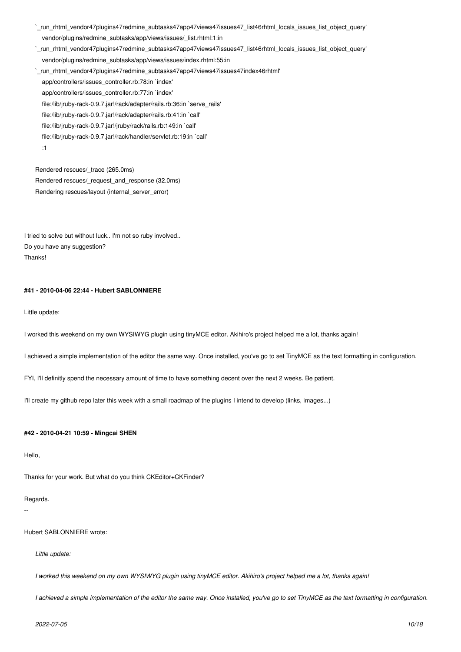`\_run\_rhtml\_vendor47plugins47redmine\_subtasks47app47views47issues47\_list46rhtml\_locals\_issues\_list\_object\_query' vendor/plugins/redmine\_subtasks/app/views/issues/\_list.rhtml:1:in

`\_run\_rhtml\_vendor47plugins47redmine\_subtasks47app47views47issues47\_list46rhtml\_locals\_issues\_list\_object\_query' vendor/plugins/redmine\_subtasks/app/views/issues/index.rhtml:55:in

`\_run\_rhtml\_vendor47plugins47redmine\_subtasks47app47views47issues47index46rhtml' app/controllers/issues\_controller.rb:78:in `index' app/controllers/issues\_controller.rb:77:in `index' file:/lib/jruby-rack-0.9.7.jar!/rack/adapter/rails.rb:36:in `serve\_rails' file:/lib/jruby-rack-0.9.7.jar!/rack/adapter/rails.rb:41:in `call' file:/lib/jruby-rack-0.9.7.jar!/jruby/rack/rails.rb:149:in `call' file:/lib/jruby-rack-0.9.7.jar!/rack/handler/servlet.rb:19:in `call' :1

Rendered rescues/\_trace (265.0ms) Rendered rescues/\_request\_and\_response (32.0ms) Rendering rescues/layout (internal server error)

I tried to solve but without luck.. I'm not so ruby involved.. Do you have any suggestion? Thanks!

# **#41 - 2010-04-06 22:44 - Hubert SABLONNIERE**

Little update:

I worked this weekend on my own WYSIWYG plugin using tinyMCE editor. Akihiro's project helped me a lot, thanks again!

I achieved a simple implementation of the editor the same way. Once installed, you've go to set TinyMCE as the text formatting in configuration.

FYI, I'll definitly spend the necessary amount of time to have something decent over the next 2 weeks. Be patient.

I'll create my github repo later this week with a small roadmap of the plugins I intend to develop (links, images...)

#### **#42 - 2010-04-21 10:59 - Mingcai SHEN**

Hello,

Thanks for your work. But what do you think CKEditor+CKFinder?

#### Regards.

--

Hubert SABLONNIERE wrote:

*Little update:*

*I worked this weekend on my own WYSIWYG plugin using tinyMCE editor. Akihiro's project helped me a lot, thanks again!*

*I achieved a simple implementation of the editor the same way. Once installed, you've go to set TinyMCE as the text formatting in configuration.*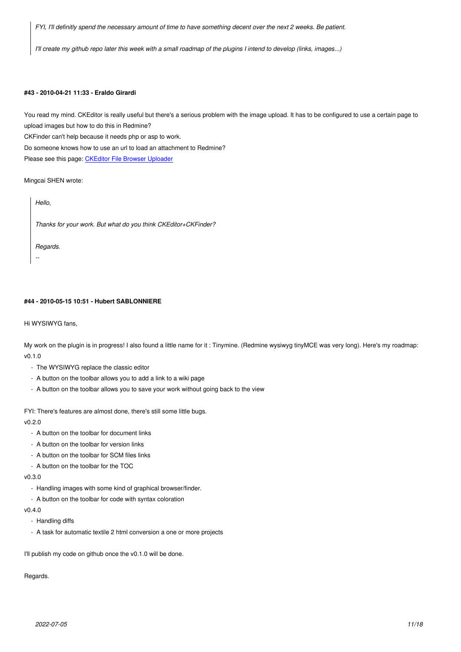*I'll create my github repo later this week with a small roadmap of the plugins I intend to develop (links, images...)*

### **#43 - 2010-04-21 11:33 - Eraldo Girardi**

You read my mind. CKEditor is really useful but there's a serious problem with the image upload. It has to be configured to use a certain page to upload images but how to do this in Redmine?

CKFinder can't help because it needs php or asp to work.

Do someone knows how to use an url to load an attachment to Redmine?

Please see this page: CKEditor File Browser Uploader

Mingcai SHEN wrote:

*Hello,*

*Thanks for your work. But what do you think CKEditor+CKFinder?*

*Regards.*

*--*

**#44 - 2010-05-15 10:51 - Hubert SABLONNIERE**

Hi WYSIWYG fans,

My work on the plugin is in progress! I also found a little name for it : Tinymine. (Redmine wysiwyg tinyMCE was very long). Here's my roadmap: v0.1.0

- The WYSIWYG replace the classic editor
- A button on the toolbar allows you to add a link to a wiki page
- A button on the toolbar allows you to save your work without going back to the view

FYI: There's features are almost done, there's still some little bugs.

v0.2.0

- A button on the toolbar for document links
- A button on the toolbar for version links
- A button on the toolbar for SCM files links
- A button on the toolbar for the TOC

v0.3.0

- Handling images with some kind of graphical browser/finder.
- A button on the toolbar for code with syntax coloration

v0.4.0

- Handling diffs
- A task for automatic textile 2 html conversion a one or more projects

I'll publish my code on github once the v0.1.0 will be done.

Regards.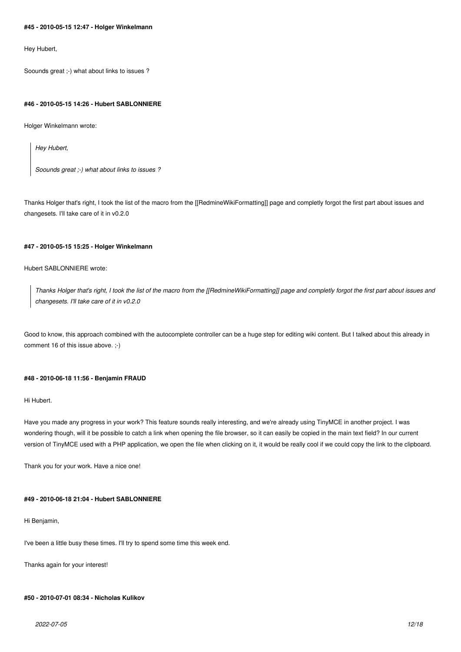### **#45 - 2010-05-15 12:47 - Holger Winkelmann**

Hey Hubert,

Soounds great ;-) what about links to issues ?

#### **#46 - 2010-05-15 14:26 - Hubert SABLONNIERE**

Holger Winkelmann wrote:

*Hey Hubert,*

*Soounds great ;-) what about links to issues ?*

Thanks Holger that's right, I took the list of the macro from the [[RedmineWikiFormatting]] page and completly forgot the first part about issues and changesets. I'll take care of it in v0.2.0

#### **#47 - 2010-05-15 15:25 - Holger Winkelmann**

### Hubert SABLONNIERE wrote:

*Thanks Holger that's right, I took the list of the macro from the [[RedmineWikiFormatting]] page and completly forgot the first part about issues and changesets. I'll take care of it in v0.2.0*

Good to know, this approach combined with the autocomplete controller can be a huge step for editing wiki content. But I talked about this already in comment 16 of this issue above. ;-)

### **#48 - 2010-06-18 11:56 - Benjamin FRAUD**

Hi Hubert.

Have you made any progress in your work? This feature sounds really interesting, and we're already using TinyMCE in another project. I was wondering though, will it be possible to catch a link when opening the file browser, so it can easily be copied in the main text field? In our current version of TinyMCE used with a PHP application, we open the file when clicking on it, it would be really cool if we could copy the link to the clipboard.

Thank you for your work. Have a nice one!

### **#49 - 2010-06-18 21:04 - Hubert SABLONNIERE**

Hi Benjamin,

I've been a little busy these times. I'll try to spend some time this week end.

Thanks again for your interest!

### **#50 - 2010-07-01 08:34 - Nicholas Kulikov**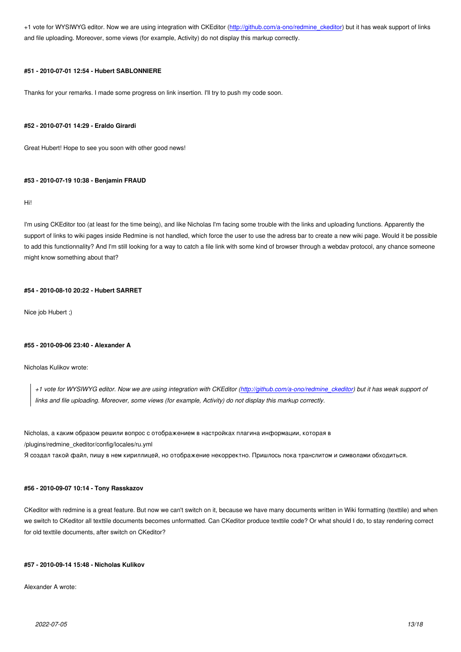and file uploading. Moreover, some views (for example, Activity) do not display this markup correctly.

### **#51 - 2010-07-01 12:54 - Hubert SABLONNIERE**

Thanks for your remarks. I made some progress on link insertion. I'll try to push my code soon.

#### **#52 - 2010-07-01 14:29 - Eraldo Girardi**

Great Hubert! Hope to see you soon with other good news!

### **#53 - 2010-07-19 10:38 - Benjamin FRAUD**

Hi!

I'm using CKEditor too (at least for the time being), and like Nicholas I'm facing some trouble with the links and uploading functions. Apparently the support of links to wiki pages inside Redmine is not handled, which force the user to use the adress bar to create a new wiki page. Would it be possible to add this functionnality? And I'm still looking for a way to catch a file link with some kind of browser through a webdav protocol, any chance someone might know something about that?

### **#54 - 2010-08-10 20:22 - Hubert SARRET**

Nice job Hubert ;)

#### **#55 - 2010-09-06 23:40 - Alexander A**

Nicholas Kulikov wrote:

*+1 vote for WYSIWYG editor. Now we are using integration with CKEditor (http://github.com/a-ono/redmine\_ckeditor) but it has weak support of links and file uploading. Moreover, some views (for example, Activity) do not display this markup correctly.*

Nicholas, а каким образом решили вопрос с отображением в настройках п[лагина информации, которая в](http://github.com/a-ono/redmine_ckeditor) /plugins/redmine\_ckeditor/config/locales/ru.yml Я создал такой файл, пишу в нем кириллицей, но отображение некорректно. Пришлось пока транслитом и символами обходиться.

#### **#56 - 2010-09-07 10:14 - Tony Rasskazov**

CKeditor with redmine is a great feature. But now we can't switch on it, because we have many documents written in Wiki formatting (texttile) and when we switch to CKeditor all texttile documents becomes unformatted. Can CKeditor produce texttile code? Or what should I do, to stay rendering correct for old texttile documents, after switch on CKeditor?

### **#57 - 2010-09-14 15:48 - Nicholas Kulikov**

Alexander A wrote: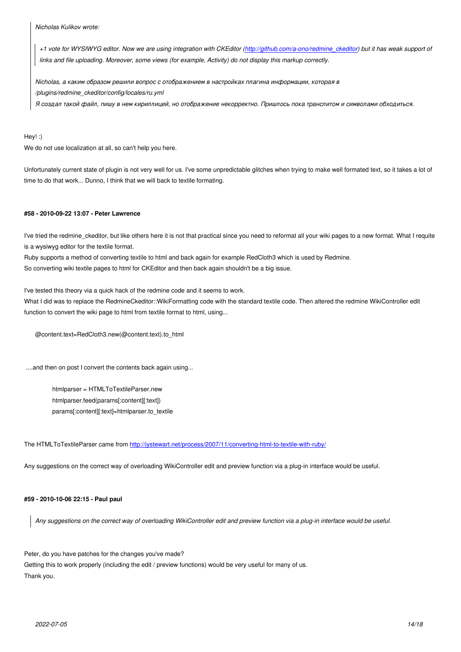*+1 vote for WYSIWYG editor. Now we are using integration with CKEditor (http://github.com/a-ono/redmine\_ckeditor) but it has weak support of links and file uploading. Moreover, some views (for example, Activity) do not display this markup correctly.*

*Nicholas, а каким образом решили вопрос с отображением в настройках [плагина информации, которая в](http://github.com/a-ono/redmine_ckeditor) /plugins/redmine\_ckeditor/config/locales/ru.yml*

*Я создал такой файл, пишу в нем кириллицей, но отображение некорректно. Пришлось пока транслитом и символами обходиться.*

Hey! :)

We do not use localization at all, so can't help you here.

Unfortunately current state of plugin is not very well for us. I've some unpredictable glitches when trying to make well formated text, so it takes a lot of time to do that work... Dunno, I think that we will back to textile formating.

### **#58 - 2010-09-22 13:07 - Peter Lawrence**

I've tried the redmine ckeditor, but like others here it is not that practical since you need to reformat all your wiki pages to a new format. What I requite is a wysiwyg editor for the textile format.

Ruby supports a method of converting textile to html and back again for example RedCloth3 which is used by Redmine. So converting wiki textile pages to html for CKEditor and then back again shouldn't be a big issue.

I've tested this theory via a quick hack of the redmine code and it seems to work.

What I did was to replace the RedmineCkeditor::WikiFormatting code with the standard textile code. Then altered the redmine WikiController edit function to convert the wiki page to html from textile format to html, using...

@content.text=RedCloth3.new(@content.text).to\_html

....and then on post I convert the contents back again using...

 htmlparser = HTMLToTextileParser.new htmlparser.feed(params[:content][:text]) params[:content][:text]=htmlparser.to\_textile

The HTMLToTextileParser came from http://jystewart.net/process/2007/11/converting-html-to-textile-with-ruby/

Any suggestions on the correct way of overloading WikiController edit and preview function via a plug-in interface would be useful.

### **#59 - 2010-10-06 22:15 - Paul paul**

*Any suggestions on the correct way of overloading WikiController edit and preview function via a plug-in interface would be useful.*

Peter, do you have patches for the changes you've made? Getting this to work properly (including the edit / preview functions) would be very useful for many of us. Thank you.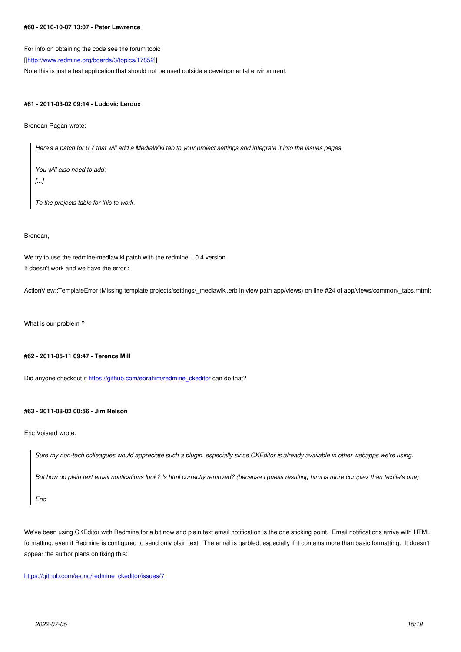For info on obtaining the code see the forum topic

[[http://www.redmine.org/boards/3/topics/17852]]

Note this is just a test application that should not be used outside a developmental environment.

# **#[61 - 2011-03-02 09:14 - Ludovic Leroux](http://www.redmine.org/boards/3/topics/17852)**

Brendan Ragan wrote:

*Here's a patch for 0.7 that will add a MediaWiki tab to your project settings and integrate it into the issues pages.*

*You will also need to add: [...]*

*To the projects table for this to work.*

### Brendan,

We try to use the redmine-mediawiki.patch with the redmine 1.0.4 version. It doesn't work and we have the error :

ActionView::TemplateError (Missing template projects/settings/\_mediawiki.erb in view path app/views) on line #24 of app/views/common/\_tabs.rhtml:

What is our problem ?

### **#62 - 2011-05-11 09:47 - Terence Mill**

Did anyone checkout if https://github.com/ebrahim/redmine\_ckeditor can do that?

### **#63 - 2011-08-02 00:5[6 - Jim Nelson](https://github.com/ebrahim/redmine_ckeditor)**

Eric Voisard wrote:

*Sure my non-tech colleagues would appreciate such a plugin, especially since CKEditor is already available in other webapps we're using.*

*But how do plain text email notifications look? Is html correctly removed? (because I guess resulting html is more complex than textile's one)*

*Eric*

We've been using CKEditor with Redmine for a bit now and plain text email notification is the one sticking point. Email notifications arrive with HTML formatting, even if Redmine is configured to send only plain text. The email is garbled, especially if it contains more than basic formatting. It doesn't appear the author plans on fixing this:

https://github.com/a-ono/redmine\_ckeditor/issues/7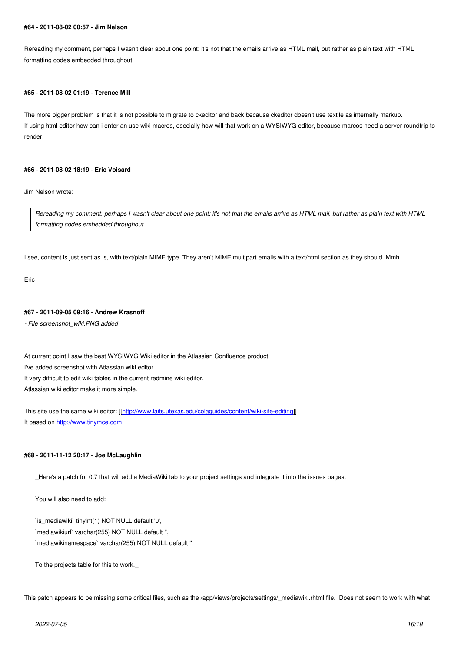Rereading my comment, perhaps I wasn't clear about one point: it's not that the emails arrive as HTML mail, but rather as plain text with HTML formatting codes embedded throughout.

#### **#65 - 2011-08-02 01:19 - Terence Mill**

The more bigger problem is that it is not possible to migrate to ckeditor and back because ckeditor doesn't use textile as internally markup. If using html editor how can i enter an use wiki macros, esecially how will that work on a WYSIWYG editor, because marcos need a server roundtrip to render.

### **#66 - 2011-08-02 18:19 - Eric Voisard**

Jim Nelson wrote:

*Rereading my comment, perhaps I wasn't clear about one point: it's not that the emails arrive as HTML mail, but rather as plain text with HTML formatting codes embedded throughout.*

I see, content is just sent as is, with text/plain MIME type. They aren't MIME multipart emails with a text/html section as they should. Mmh...

Eric

### **#67 - 2011-09-05 09:16 - Andrew Krasnoff**

*- File screenshot\_wiki.PNG added*

At current point I saw the best WYSIWYG Wiki editor in the Atlassian Confluence product. I've added screenshot with Atlassian wiki editor. It very difficult to edit wiki tables in the current redmine wiki editor. Atlassian wiki editor make it more simple.

This site use the same wiki editor: [[http://www.laits.utexas.edu/colaguides/content/wiki-site-editing]] It based on http://www.tinymce.com

### **#68 - 2011-[11-12 20:17 - Joe McLa](http://www.tinymce.com)[ughlin](http://www.laits.utexas.edu/colaguides/content/wiki-site-editing)**

\_Here's a patch for 0.7 that will add a MediaWiki tab to your project settings and integrate it into the issues pages.

You will also need to add:

`is\_mediawiki` tinyint(1) NOT NULL default '0', `mediawikiurl` varchar(255) NOT NULL default '', `mediawikinamespace` varchar(255) NOT NULL default ''

To the projects table for this to work.\_

This patch appears to be missing some critical files, such as the /app/views/projects/settings/\_mediawiki.rhtml file. Does not seem to work with what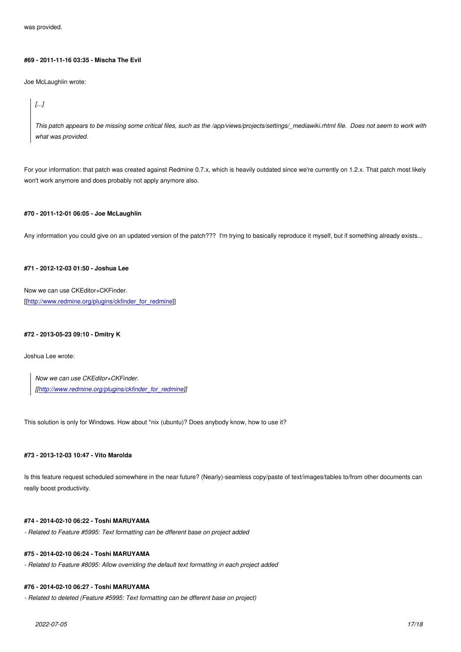#### **#69 - 2011-11-16 03:35 - Mischa The Evil**

Joe McLaughlin wrote:

*[...]*

*This patch appears to be missing some critical files, such as the /app/views/projects/settings/\_mediawiki.rhtml file. Does not seem to work with what was provided.*

For your information: that patch was created against Redmine 0.7.x, which is heavily outdated since we're currently on 1.2.x. That patch most likely won't work anymore and does probably not apply anymore also.

### **#70 - 2011-12-01 06:05 - Joe McLaughlin**

Any information you could give on an updated version of the patch??? I'm trying to basically reproduce it myself, but if something already exists...

# **#71 - 2012-12-03 01:50 - Joshua Lee**

Now we can use CKEditor+CKFinder. [[http://www.redmine.org/plugins/ckfinder\_for\_redmine]]

### **#[72 - 2013-05-23 09:10 - Dmitry K](http://www.redmine.org/plugins/ckfinder_for_redmine)**

Joshua Lee wrote:

*Now we can use CKEditor+CKFinder. [[http://www.redmine.org/plugins/ckfinder\_for\_redmine]]*

This [solution is only for Windows. How about \\*nix \(ubuntu\)](http://www.redmine.org/plugins/ckfinder_for_redmine)? Does anybody know, how to use it?

### **#73 - 2013-12-03 10:47 - Vito Marolda**

Is this feature request scheduled somewhere in the near future? (Nearly)-seamless copy/paste of text/images/tables to/from other documents can really boost productivity.

### **#74 - 2014-02-10 06:22 - Toshi MARUYAMA**

*- Related to Feature #5995: Text formatting can be dfferent base on project added*

### **#75 - 2014-02-10 06:24 - Toshi MARUYAMA**

*- Related to Feature #8095: Allow overriding the default text formatting in each project added*

# **#76 - 2014-02-10 06:27 - Toshi MARUYAMA**

*- Related to deleted (Feature #5995: Text formatting can be dfferent base on project)*